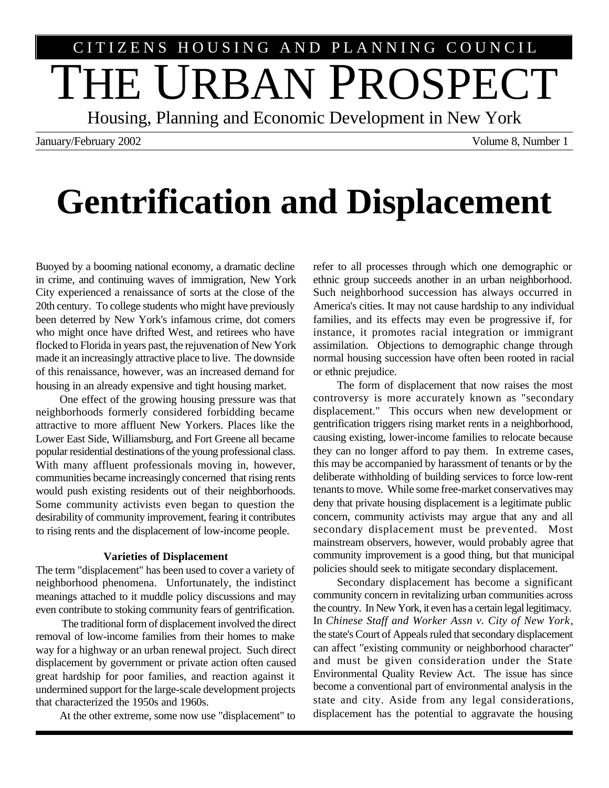# THE URBAN PROSPECT CITIZENS HOUSING AND PLANNING COUNCIL

Housing, Planning and Economic Development in New York

January/February 2002 Volume 8, Number 1

## **Gentrification and Displacement**

Buoyed by a booming national economy, a dramatic decline in crime, and continuing waves of immigration, New York City experienced a renaissance of sorts at the close of the 20th century. To college students who might have previously been deterred by New York's infamous crime, dot comers who might once have drifted West, and retirees who have flocked to Florida in years past, the rejuvenation of New York made it an increasingly attractive place to live. The downside of this renaissance, however, was an increased demand for housing in an already expensive and tight housing market.

One effect of the growing housing pressure was that neighborhoods formerly considered forbidding became attractive to more affluent New Yorkers. Places like the Lower East Side, Williamsburg, and Fort Greene all became popular residential destinations of the young professional class. With many affluent professionals moving in, however, communities became increasingly concerned that rising rents would push existing residents out of their neighborhoods. Some community activists even began to question the desirability of community improvement, fearing it contributes to rising rents and the displacement of low-income people.

#### **Varieties of Displacement**

The term "displacement" has been used to cover a variety of neighborhood phenomena. Unfortunately, the indistinct meanings attached to it muddle policy discussions and may even contribute to stoking community fears of gentrification.

 The traditional form of displacement involved the direct removal of low-income families from their homes to make way for a highway or an urban renewal project. Such direct displacement by government or private action often caused great hardship for poor families, and reaction against it undermined support for the large-scale development projects that characterized the 1950s and 1960s.

At the other extreme, some now use "displacement" to

refer to all processes through which one demographic or ethnic group succeeds another in an urban neighborhood. Such neighborhood succession has always occurred in America's cities. It may not cause hardship to any individual families, and its effects may even be progressive if, for instance, it promotes racial integration or immigrant assimilation. Objections to demographic change through normal housing succession have often been rooted in racial or ethnic prejudice.

The form of displacement that now raises the most controversy is more accurately known as "secondary displacement." This occurs when new development or gentrification triggers rising market rents in a neighborhood, causing existing, lower-income families to relocate because they can no longer afford to pay them. In extreme cases, this may be accompanied by harassment of tenants or by the deliberate withholding of building services to force low-rent tenants to move. While some free-market conservatives may deny that private housing displacement is a legitimate public concern, community activists may argue that any and all secondary displacement must be prevented. Most mainstream observers, however, would probably agree that community improvement is a good thing, but that municipal policies should seek to mitigate secondary displacement.

Secondary displacement has become a significant community concern in revitalizing urban communities across the country. In New York, it even has a certain legal legitimacy. In *Chinese Staff and Worker Assn v. City of New York*, the state's Court of Appeals ruled that secondary displacement can affect "existing community or neighborhood character" and must be given consideration under the State Environmental Quality Review Act. The issue has since become a conventional part of environmental analysis in the state and city. Aside from any legal considerations, displacement has the potential to aggravate the housing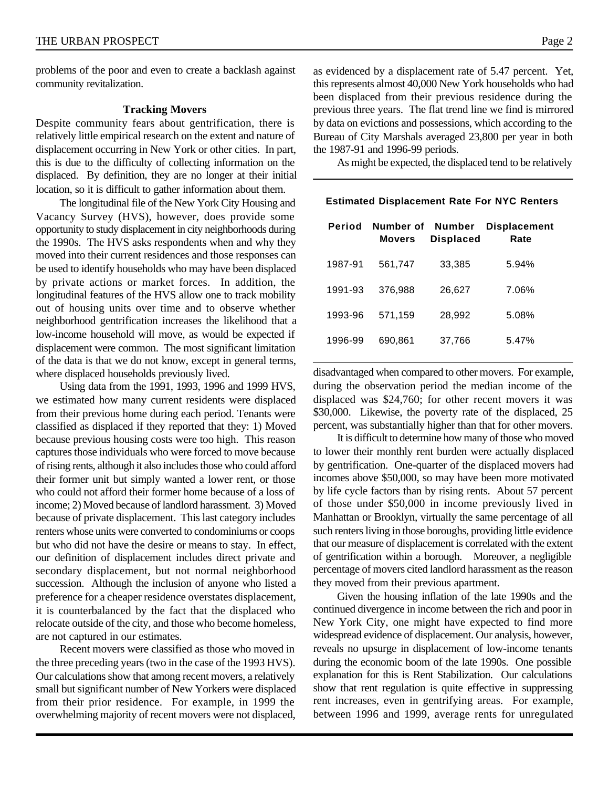problems of the poor and even to create a backlash against community revitalization.

#### **Tracking Movers**

Despite community fears about gentrification, there is relatively little empirical research on the extent and nature of displacement occurring in New York or other cities. In part, this is due to the difficulty of collecting information on the displaced. By definition, they are no longer at their initial location, so it is difficult to gather information about them.

The longitudinal file of the New York City Housing and Vacancy Survey (HVS), however, does provide some opportunity to study displacement in city neighborhoods during the 1990s. The HVS asks respondents when and why they moved into their current residences and those responses can be used to identify households who may have been displaced by private actions or market forces. In addition, the longitudinal features of the HVS allow one to track mobility out of housing units over time and to observe whether neighborhood gentrification increases the likelihood that a low-income household will move, as would be expected if displacement were common. The most significant limitation of the data is that we do not know, except in general terms, where displaced households previously lived.

Using data from the 1991, 1993, 1996 and 1999 HVS, we estimated how many current residents were displaced from their previous home during each period. Tenants were classified as displaced if they reported that they: 1) Moved because previous housing costs were too high. This reason captures those individuals who were forced to move because of rising rents, although it also includes those who could afford their former unit but simply wanted a lower rent, or those who could not afford their former home because of a loss of income; 2) Moved because of landlord harassment. 3) Moved because of private displacement. This last category includes renters whose units were converted to condominiums or coops but who did not have the desire or means to stay. In effect, our definition of displacement includes direct private and secondary displacement, but not normal neighborhood succession. Although the inclusion of anyone who listed a preference for a cheaper residence overstates displacement, it is counterbalanced by the fact that the displaced who relocate outside of the city, and those who become homeless, are not captured in our estimates.

Recent movers were classified as those who moved in the three preceding years (two in the case of the 1993 HVS). Our calculations show that among recent movers, a relatively small but significant number of New Yorkers were displaced from their prior residence. For example, in 1999 the overwhelming majority of recent movers were not displaced,

as evidenced by a displacement rate of 5.47 percent. Yet, this represents almost 40,000 New York households who had been displaced from their previous residence during the previous three years. The flat trend line we find is mirrored by data on evictions and possessions, which according to the Bureau of City Marshals averaged 23,800 per year in both the 1987-91 and 1996-99 periods.

As might be expected, the displaced tend to be relatively

| Period  | Number of<br><b>Movers</b> | Number<br><b>Displaced</b> | <b>Displacement</b><br>Rate |
|---------|----------------------------|----------------------------|-----------------------------|
| 1987-91 | 561,747                    | 33,385                     | 5.94%                       |
| 1991-93 | 376.988                    | 26,627                     | 7.06%                       |
| 1993-96 | 571,159                    | 28,992                     | 5.08%                       |
| 1996-99 | 690.861                    | 37,766                     | 5.47%                       |

#### **Estimated Displacement Rate For NYC Renters**

disadvantaged when compared to other movers. For example, during the observation period the median income of the displaced was \$24,760; for other recent movers it was \$30,000. Likewise, the poverty rate of the displaced, 25 percent, was substantially higher than that for other movers.

It is difficult to determine how many of those who moved to lower their monthly rent burden were actually displaced by gentrification. One-quarter of the displaced movers had incomes above \$50,000, so may have been more motivated by life cycle factors than by rising rents. About 57 percent of those under \$50,000 in income previously lived in Manhattan or Brooklyn, virtually the same percentage of all such renters living in those boroughs, providing little evidence that our measure of displacement is correlated with the extent of gentrification within a borough. Moreover, a negligible percentage of movers cited landlord harassment as the reason they moved from their previous apartment.

Given the housing inflation of the late 1990s and the continued divergence in income between the rich and poor in New York City, one might have expected to find more widespread evidence of displacement. Our analysis, however, reveals no upsurge in displacement of low-income tenants during the economic boom of the late 1990s. One possible explanation for this is Rent Stabilization. Our calculations show that rent regulation is quite effective in suppressing rent increases, even in gentrifying areas. For example, between 1996 and 1999, average rents for unregulated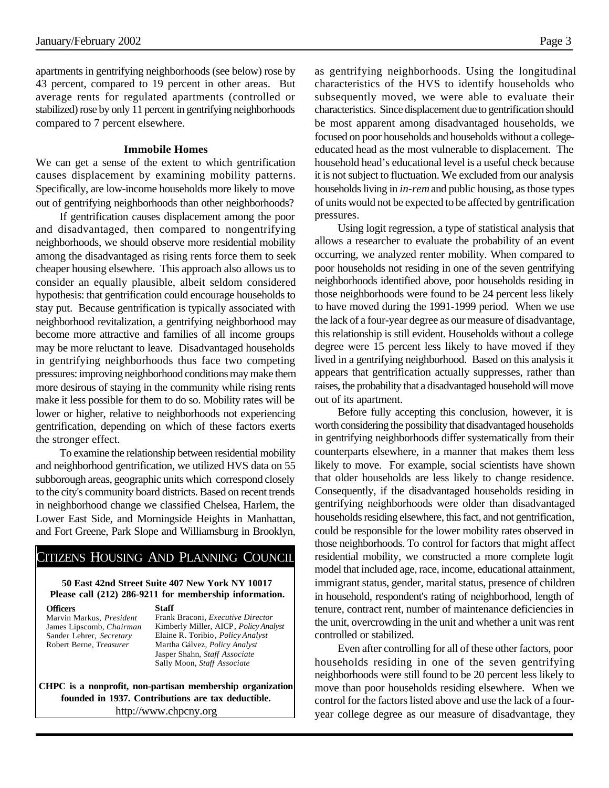apartments in gentrifying neighborhoods (see below) rose by 43 percent, compared to 19 percent in other areas. But average rents for regulated apartments (controlled or stabilized) rose by only 11 percent in gentrifying neighborhoods compared to 7 percent elsewhere.

#### **Immobile Homes**

We can get a sense of the extent to which gentrification causes displacement by examining mobility patterns. Specifically, are low-income households more likely to move out of gentrifying neighborhoods than other neighborhoods?

If gentrification causes displacement among the poor and disadvantaged, then compared to nongentrifying neighborhoods, we should observe more residential mobility among the disadvantaged as rising rents force them to seek cheaper housing elsewhere. This approach also allows us to consider an equally plausible, albeit seldom considered hypothesis: that gentrification could encourage households to stay put. Because gentrification is typically associated with neighborhood revitalization, a gentrifying neighborhood may become more attractive and families of all income groups may be more reluctant to leave. Disadvantaged households in gentrifying neighborhoods thus face two competing pressures: improving neighborhood conditions may make them more desirous of staying in the community while rising rents make it less possible for them to do so. Mobility rates will be lower or higher, relative to neighborhoods not experiencing gentrification, depending on which of these factors exerts the stronger effect.

To examine the relationship between residential mobility and neighborhood gentrification, we utilized HVS data on 55 subborough areas, geographic units which correspond closely to the city's community board districts. Based on recent trends in neighborhood change we classified Chelsea, Harlem, the Lower East Side, and Morningside Heights in Manhattan, and Fort Greene, Park Slope and Williamsburg in Brooklyn,

### CITIZENS HOUSING AND PLANNING COUNCIL

#### **50 East 42nd Street Suite 407 New York NY 10017 Please call (212) 286-9211 for membership information.**

**Officers**

Marvin Markus, *President* James Lipscomb, *Chairman* Sander Lehrer, *Secretary* Robert Berne, *Treasurer*

**Staff** Frank Braconi, *Executive Director* Kimberly Miller*,* AICP*, Policy Analyst* Elaine R. Toribio*, Policy Analyst* Martha Gálvez*, Policy Analyst* Jasper Shahn, *Staff Associate* Sally Moon, *Staff Associate*

**CHPC is a nonprofit, non-partisan membership organization founded in 1937. Contributions are tax deductible.** http://www.chpcny.org

as gentrifying neighborhoods. Using the longitudinal characteristics of the HVS to identify households who subsequently moved, we were able to evaluate their characteristics. Since displacement due to gentrification should be most apparent among disadvantaged households, we focused on poor households and households without a collegeeducated head as the most vulnerable to displacement. The household head's educational level is a useful check because it is not subject to fluctuation. We excluded from our analysis households living in *in-rem* and public housing, as those types of units would not be expected to be affected by gentrification pressures.

Using logit regression, a type of statistical analysis that allows a researcher to evaluate the probability of an event occurring, we analyzed renter mobility. When compared to poor households not residing in one of the seven gentrifying neighborhoods identified above, poor households residing in those neighborhoods were found to be 24 percent less likely to have moved during the 1991-1999 period. When we use the lack of a four-year degree as our measure of disadvantage, this relationship is still evident. Households without a college degree were 15 percent less likely to have moved if they lived in a gentrifying neighborhood. Based on this analysis it appears that gentrification actually suppresses, rather than raises, the probability that a disadvantaged household will move out of its apartment.

Before fully accepting this conclusion, however, it is worth considering the possibility that disadvantaged households in gentrifying neighborhoods differ systematically from their counterparts elsewhere, in a manner that makes them less likely to move. For example, social scientists have shown that older households are less likely to change residence. Consequently, if the disadvantaged households residing in gentrifying neighborhoods were older than disadvantaged households residing elsewhere, this fact, and not gentrification, could be responsible for the lower mobility rates observed in those neighborhoods. To control for factors that might affect residential mobility, we constructed a more complete logit model that included age, race, income, educational attainment, immigrant status, gender, marital status, presence of children in household, respondent's rating of neighborhood, length of tenure, contract rent, number of maintenance deficiencies in the unit, overcrowding in the unit and whether a unit was rent controlled or stabilized.

Even after controlling for all of these other factors, poor households residing in one of the seven gentrifying neighborhoods were still found to be 20 percent less likely to move than poor households residing elsewhere. When we control for the factors listed above and use the lack of a fouryear college degree as our measure of disadvantage, they